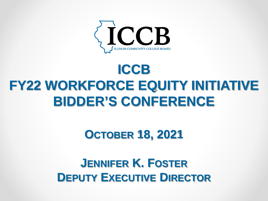

## **ICCB FY22 WORKFORCE EQUITY INITIATIVE BIDDER'S CONFERENCE**

#### **OCTOBER 18, 2021**

#### **JENNIFER K. FOSTER DEPUTY EXECUTIVE DIRECTOR**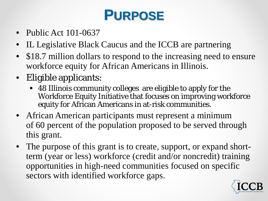## **PURPOSE**

- Public Act 101-0637
- IL Legislative Black Caucus and the ICCB are partnering
- \$18.7 million dollars to respond to the increasing need to ensure workforce equity for African Americans in Illinois.
- Eligible applicants:
	- 48 Illinois community colleges are eligible to apply for the Workforce Equity Initiative that focuses on improving workforce equity for African Americans in at-risk communities.
- African American participants must represent a minimum of 60 percent of the population proposed to be served through this grant.
- The purpose of this grant is to create, support, or expand shortterm (year or less) workforce (credit and/or noncredit) training opportunities in high-need communities focused on specific sectors with identified workforce gaps.

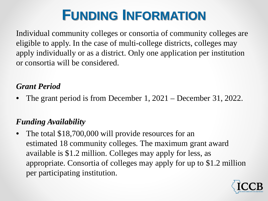## **FUNDING INFORMATION**

Individual community colleges or consortia of community colleges are eligible to apply. In the case of multi-college districts, colleges may apply individually or as a district. Only one application per institution or consortia will be considered.

#### *Grant Period*

• The grant period is from December 1, 2021 – December 31, 2022.

#### *Funding Availability*

The total \$18,700,000 will provide resources for an estimated 18 community colleges. The maximum grant award available is \$1.2 million. Colleges may apply for less, as appropriate. Consortia of colleges may apply for up to \$1.2 million per participating institution.

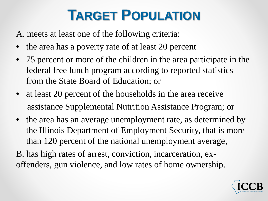## **TARGET POPULATION**

A. meets at least one of the following criteria:

- the area has a poverty rate of at least 20 percent
- 75 percent or more of the children in the area participate in the federal free lunch program according to reported statistics from the State Board of Education; or
- at least 20 percent of the households in the area receive assistance Supplemental Nutrition Assistance Program; or
- the area has an average unemployment rate, as determined by the Illinois Department of Employment Security, that is more than 120 percent of the national unemployment average,
- B. has high rates of arrest, conviction, incarceration, exoffenders, gun violence, and low rates of home ownership.

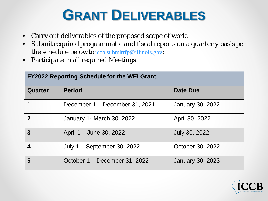## **GRANT DELIVERABLES**

- Carry out deliverables of the proposed scope of work.
- Submit required programmatic and fiscal reports on a quarterly basis per the schedule below to [iccb.submitrfp@illinois.gov](mailto:iccb.submitrfp@illinois.gov):
- Participate in all required Meetings.

| <b>FY2022 Reporting Schedule for the WEI Grant</b> |                                |                         |
|----------------------------------------------------|--------------------------------|-------------------------|
| Quarter                                            | <b>Period</b>                  | <b>Date Due</b>         |
|                                                    | December 1 - December 31, 2021 | <b>January 30, 2022</b> |
| $\overline{2}$                                     | January 1- March 30, 2022      | April 30, 2022          |
| $\overline{3}$                                     | April 1 – June 30, 2022        | <b>July 30, 2022</b>    |
| $\overline{\mathbf{4}}$                            | July 1 - September 30, 2022    | October 30, 2022        |
| 5                                                  | October 1 – December 31, 2022  | <b>January 30, 2023</b> |

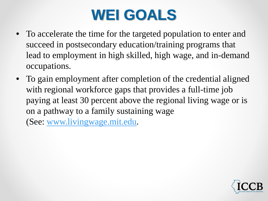# **WEI GOALS**

- To accelerate the time for the targeted population to enter and succeed in postsecondary education/training programs that lead to employment in high skilled, high wage, and in-demand occupations.
- To gain employment after completion of the credential aligned with regional workforce gaps that provides a full-time job paying at least 30 percent above the regional living wage or is on a pathway to a family sustaining wage

(See: [www.livingwage.mit.edu](http://www.livingwage.mit.edu/).

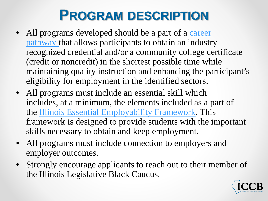## **PROGRAM DESCRIPTION**

- All programs developed should be a part of a career pathway [that allows participants to obtain an industr](https://icsps.illinoisstate.edu/images/pdfs/CTE/Perkins_V/6Perkins_V_Resource_IL-Career-Pathways-Dictionary.pdf)y recognized credential and/or a community college certificate (credit or noncredit) in the shortest possible time while maintaining quality instruction and enhancing the participant's eligibility for employment in the identified sectors.
- All programs must include an essential skill which includes, at a minimum, the elements included as a part of the [Illinois Essential Employability Framework.](https://www.illinoisworknet.com/DownloadPrint/ILEssentialEmployabilitySkills-Handout.pdf) This framework is designed to provide students with the important skills necessary to obtain and keep employment.
- All programs must include connection to employers and employer outcomes.
- Strongly encourage applicants to reach out to their member of the Illinois Legislative Black Caucus.

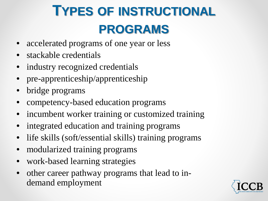# **TYPES OF INSTRUCTIONAL PROGRAMS**

- accelerated programs of one year or less
- stackable credentials
- industry recognized credentials
- pre-apprenticeship/apprenticeship
- bridge programs
- competency-based education programs
- incumbent worker training or customized training
- integrated education and training programs
- life skills (soft/essential skills) training programs
- modularized training programs
- work-based learning strategies
- other career pathway programs that lead to indemand employment

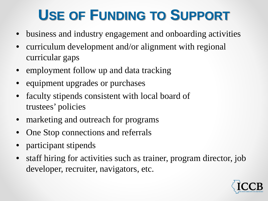## **USE OF FUNDING TO SUPPORT**

- business and industry engagement and onboarding activities
- curriculum development and/or alignment with regional curricular gaps
- employment follow up and data tracking
- equipment upgrades or purchases
- faculty stipends consistent with local board of trustees' policies
- marketing and outreach for programs
- One Stop connections and referrals
- participant stipends
- staff hiring for activities such as trainer, program director, job developer, recruiter, navigators, etc.

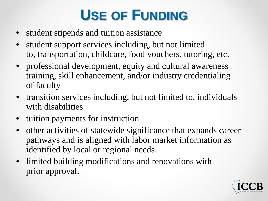## **USE OF FUNDING**

- student stipends and tuition assistance
- student support services including, but not limited to, transportation, childcare, food vouchers, tutoring, etc.
- professional development, equity and cultural awareness training, skill enhancement, and/or industry credentialing of faculty
- transition services including, but not limited to, individuals with disabilities
- tuition payments for instruction
- other activities of statewide significance that expands career pathways and is aligned with labor market information as identified by local or regional needs.
- limited building modifications and renovations with prior approval.

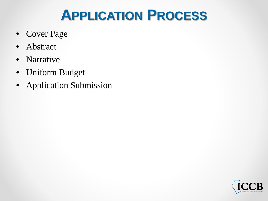## **APPLICATION PROCESS**

- Cover Page
- Abstract
- Narrative
- Uniform Budget
- Application Submission

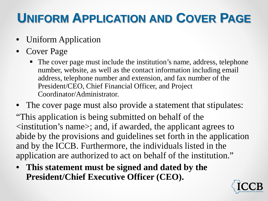## **UNIFORM APPLICATION AND COVER PAGE**

- Uniform Application
- Cover Page
	- The cover page must include the institution's name, address, telephone number, website, as well as the contact information including email address, telephone number and extension, and fax number of the President/CEO, Chief Financial Officer, and Project Coordinator/Administrator.

The cover page must also provide a statement that stipulates: "This application is being submitted on behalf of the <institution's name>; and, if awarded, the applicant agrees to abide by the provisions and guidelines set forth in the application and by the ICCB. Furthermore, the individuals listed in the application are authorized to act on behalf of the institution."

• **This statement must be signed and dated by the President/Chief Executive Officer (CEO).**

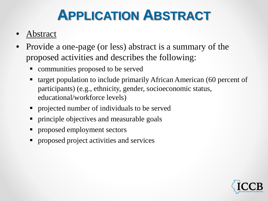## **APPLICATION ABSTRACT**

- **Abstract**
- Provide a one-page (or less) abstract is a summary of the proposed activities and describes the following:
	- communities proposed to be served
	- target population to include primarily African American (60 percent of participants) (e.g., ethnicity, gender, socioeconomic status, educational/workforce levels)
	- **Peroperty** 1 projected number of individuals to be served
	- **•** principle objectives and measurable goals
	- **Peroposed employment sectors**
	- **Peroposed project activities and services**

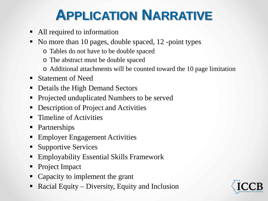## **APPLICATION NARRATIVE**

- All required to information
- No more than 10 pages, double spaced, 12 -point types
	- o Tables do not have to be double spaced
	- o The abstract must be double spaced
	- o Additional attachments will be counted toward the 10 page limitation
- Statement of Need
- Details the High Demand Sectors
- Projected unduplicated Numbers to be served
- **-** Description of Project and Activities
- **Timeline of Activities**
- Partnerships
- **Employer Engagement Activities**
- **Supportive Services**
- Employability Essential Skills Framework
- Project Impact
- Capacity to implement the grant
- Racial Equity Diversity, Equity and Inclusion

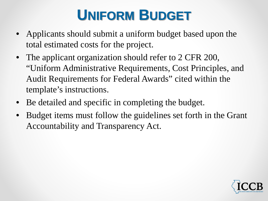## **UNIFORM BUDGET**

- Applicants should submit a uniform budget based upon the total estimated costs for the project.
- The applicant organization should refer to 2 CFR 200, "Uniform Administrative Requirements, Cost Principles, and Audit Requirements for Federal Awards" cited within the template's instructions.
- Be detailed and specific in completing the budget.
- Budget items must follow the guidelines set forth in the Grant Accountability and Transparency Act.

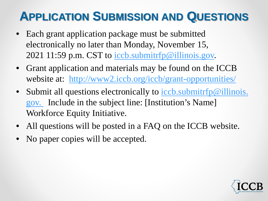#### **APPLICATION SUBMISSION AND QUESTIONS**

- Each grant application package must be submitted electronically no later than Monday, November 15, 2021 11:59 p.m. CST to [iccb.submitrfp@illinois.gov.](mailto:iccb.submitrfp@illinois.gov)
- Grant application and materials may be found on the ICCB website at: <http://www2.iccb.org/iccb/grant-opportunities/>
- Submit all questions electronically to iccb.submitrfp@illinois. go[v.](mailto:Nora.l.rossman@illinois.gov) [Include in the subject line: \[Institution's Name\]](mailto:iccb.submitrfp@illinois.gov)  Workforce Equity Initiative.
- All questions will be posted in a FAQ on the ICCB website.
- No paper copies will be accepted.